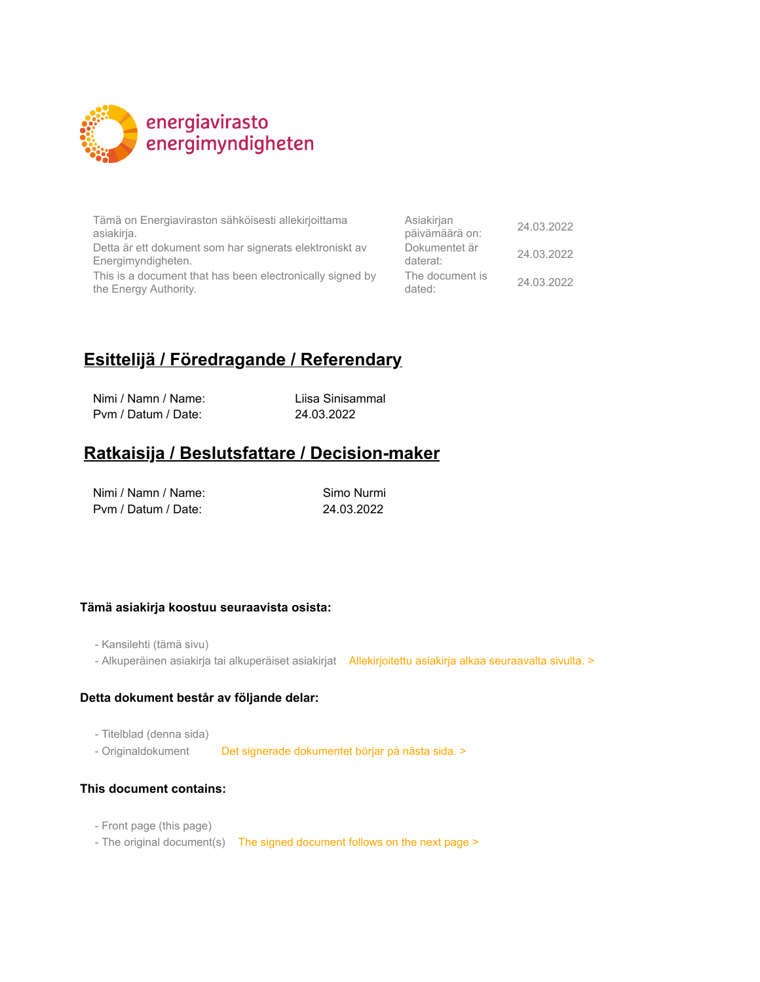

Tämä on Energiaviraston sähköisesti allekirjoittama asiakirja.

Detta är ett dokument som har signerats elektroniskt av Energimyndigheten.

This is a document that has been electronically signed by the Energy Authority.

| Asiakirjan<br>päivämäärä on: | 24.03.2022 |
|------------------------------|------------|
| Dokumentet är<br>daterat:    | 24.03.2022 |
| The document is<br>dated:    | 24.03.2022 |

## **Esittelijä / Föredragande / Referendary**

Nimi / Namn / Name: Liisa Sinisammal Pvm / Datum / Date: 24.03.2022

## **Ratkaisija / Beslutsfattare / Decision-maker**

| Nimi / Namn / Name: |  |
|---------------------|--|
| Pym / Datum / Date: |  |

Simo Nurmi 24.03.2022

### **Tämä asiakirja koostuu seuraavista osista:**

- Kansilehti (tämä sivu)

- Alkuperäinen asiakirja tai alkuperäiset asiakirjat Allekirjoitettu asiakirja alkaa seuraavalta sivulta. >

#### **Detta dokument består av följande delar:**

- Titelblad (denna sida)

- Originaldokument Det signerade dokumentet börjar på nästa sida. >

### **This document contains:**

- Front page (this page)
- The original document(s) The signed document follows on the next page >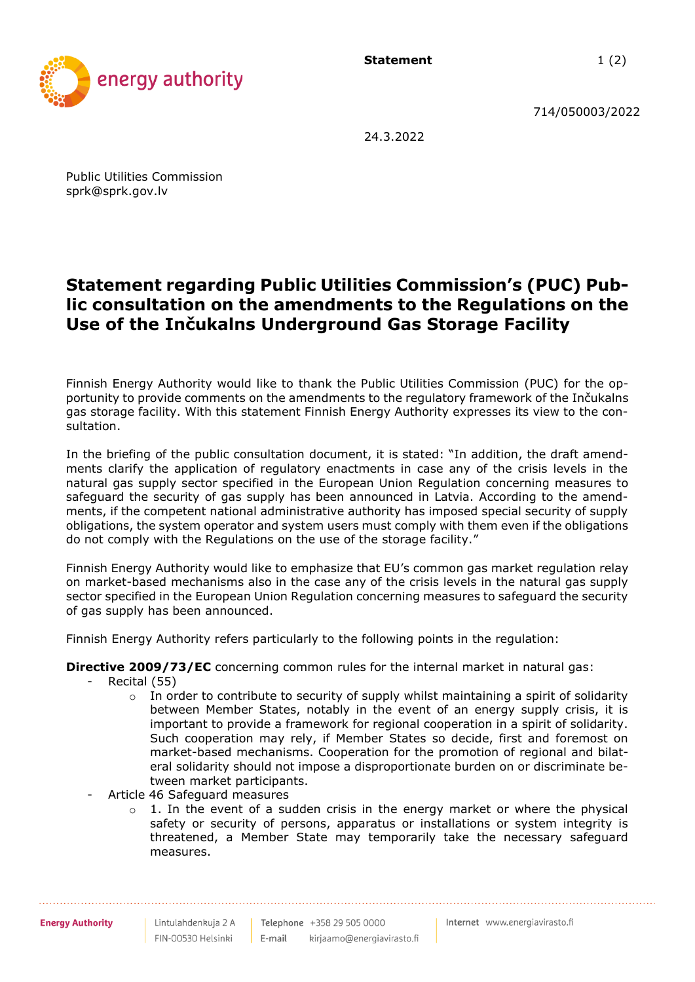**Statement** 1(2)



714/050003/2022

24.3.2022

Public Utilities Commission sprk@sprk.gov.lv

# **Statement regarding Public Utilities Commission's (PUC) Public consultation on the amendments to the Regulations on the Use of the Inčukalns Underground Gas Storage Facility**

Finnish Energy Authority would like to thank the Public Utilities Commission (PUC) for the opportunity to provide comments on the amendments to the regulatory framework of the Inčukalns gas storage facility. With this statement Finnish Energy Authority expresses its view to the consultation.

In the briefing of the public consultation document, it is stated: "In addition, the draft amendments clarify the application of regulatory enactments in case any of the crisis levels in the natural gas supply sector specified in the European Union Regulation concerning measures to safeguard the security of gas supply has been announced in Latvia. According to the amendments, if the competent national administrative authority has imposed special security of supply obligations, the system operator and system users must comply with them even if the obligations do not comply with the Regulations on the use of the storage facility."

Finnish Energy Authority would like to emphasize that EU's common gas market regulation relay on market-based mechanisms also in the case any of the crisis levels in the natural gas supply sector specified in the European Union Regulation concerning measures to safeguard the security of gas supply has been announced.

Finnish Energy Authority refers particularly to the following points in the regulation:

**Directive 2009/73/EC** concerning common rules for the internal market in natural gas:

- Recital (55)
	- $\circ$  In order to contribute to security of supply whilst maintaining a spirit of solidarity between Member States, notably in the event of an energy supply crisis, it is important to provide a framework for regional cooperation in a spirit of solidarity. Such cooperation may rely, if Member States so decide, first and foremost on market-based mechanisms. Cooperation for the promotion of regional and bilateral solidarity should not impose a disproportionate burden on or discriminate between market participants.
- Article 46 Safeguard measures
	- $\circ$  1. In the event of a sudden crisis in the energy market or where the physical safety or security of persons, apparatus or installations or system integrity is threatened, a Member State may temporarily take the necessary safeguard measures.